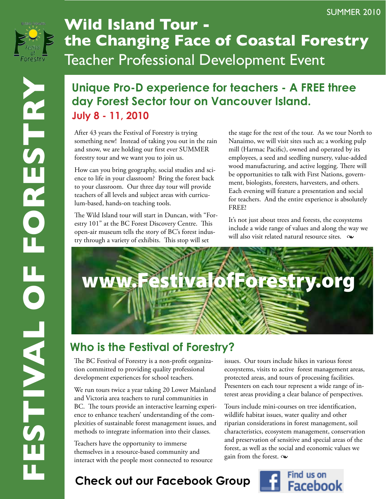

## **Wild Island Tour the Changing Face of Coastal Forestry** Teacher Professional Development Event

## **Unique Pro-D experience for teachers - A FREE three day Forest Sector tour on Vancouver Island. July 8 - 11, 2010**

After 43 years the Festival of Forestry is trying something new! Instead of taking you out in the rain and snow, we are holding our first ever SUMMER forestry tour and we want you to join us.

How can you bring geography, social studies and science to life in your classroom? Bring the forest back to your classroom. Our three day tour will provide teachers of all levels and subject areas with curriculum-based, hands-on teaching tools.

The Wild Island tour will start in Duncan, with "Forestry 101" at the BC Forest Discovery Centre. This open-air museum tells the story of BC's forest industry through a variety of exhibits. This stop will set

the stage for the rest of the tour. As we tour North to Nanaimo, we will visit sites such as; a working pulp mill (Harmac Pacific), owned and operated by its employees, a seed and seedling nursery, value-added wood manufacturing, and active logging. There will be opportunities to talk with First Nations, government, biologists, foresters, harvesters, and others. Each evening will feature a presentation and social for teachers. And the entire experience is absolutely FREE!

It's not just about trees and forests, the ecosystems include a wide range of values and along the way we will also visit related natural resource sites.  $\infty$ 



## **Who is the Festival of Forestry?**

The BC Festival of Forestry is a non-profit organization committed to providing quality professional development experiences for school teachers.

We run tours twice a year taking 20 Lower Mainland and Victoria area teachers to rural communities in BC. The tours provide an interactive learning experience to enhance teachers' understanding of the complexities of sustainable forest management issues, and methods to integrate information into their classes.

Teachers have the opportunity to immerse themselves in a resource-based community and interact with the people most connected to resource issues. Our tours include hikes in various forest ecosystems, visits to active forest management areas, protected areas, and tours of processing facilities. Presenters on each tour represent a wide range of interest areas providing a clear balance of perspectives.

Tours include mini-courses on tree identification, wildlife habitat issues, water quality and other riparian considerations in forest management, soil characteristics, ecosystem management, conservation and preservation of sensitive and special areas of the forest, as well as the social and economic values we gain from the forest.  $\infty$ 

## **Check out our Facebook Group**

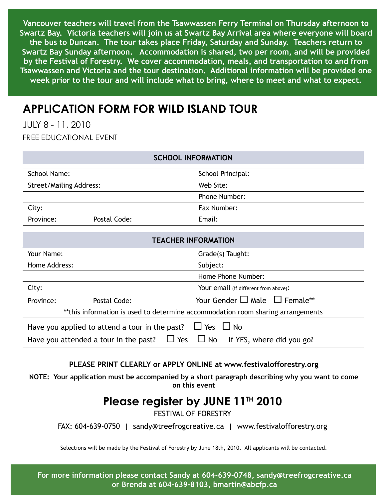**Vancouver teachers will travel from the Tsawwassen Ferry Terminal on Thursday afternoon to Swartz Bay. Victoria teachers will join us at Swartz Bay Arrival area where everyone will board the bus to Duncan. The tour takes place Friday, Saturday and Sunday. Teachers return to Swartz Bay Sunday afternoon. Accommodation is shared, two per room, and will be provided by the Festival of Forestry. We cover accommodation, meals, and transportation to and from Tsawwassen and Victoria and the tour destination. Additional information will be provided one week prior to the tour and will include what to bring, where to meet and what to expect.**

## **Application form for Wild Island Tour**

July 8 - 11, 2010 Free educational event

| <b>SCHOOL INFORMATION</b>                                                                     |              |                                         |
|-----------------------------------------------------------------------------------------------|--------------|-----------------------------------------|
| <b>School Name:</b>                                                                           |              | School Principal:                       |
| <b>Street/Mailing Address:</b>                                                                |              | Web Site:                               |
|                                                                                               |              | Phone Number:                           |
| City:                                                                                         |              | Fax Number:                             |
| Province:                                                                                     | Postal Code: | Email:                                  |
|                                                                                               |              |                                         |
| <b>TEACHER INFORMATION</b>                                                                    |              |                                         |
| Your Name:                                                                                    |              | Grade(s) Taught:                        |
| Home Address:                                                                                 |              | Subject:                                |
|                                                                                               |              | Home Phone Number:                      |
| City:                                                                                         |              | Your email (if different from above):   |
| Province:                                                                                     | Postal Code: | Your Gender $\Box$ Male $\Box$ Female** |
| **this information is used to determine accommodation room sharing arrangements               |              |                                         |
| Have you applied to attend a tour in the past? $\Box$ Yes $\Box$ No                           |              |                                         |
| $\Box$ Yes<br>$\Box$ No<br>If YES, where did you go?<br>Have you attended a tour in the past? |              |                                         |
|                                                                                               |              |                                         |

#### **PLEASE PRINT CLEARLY or APPLY ONLINE at www.festivalofforestry.org**

**NOTE: Your application must be accompanied by a short paragraph describing why you want to come on this event**

### **Please register by JUNE 11th 2010**

Festival of Forestry

Fax: 604-639-0750 | sandy@treefrogcreative.ca | www.festivalofforestry.org

Selections will be made by the Festival of Forestry by June 18th, 2010. All applicants will be contacted.

**For more information please contact Sandy at 604-639-0748, sandy@treefrogcreative.ca or Brenda at 604-639-8103, bmartin@abcfp.ca**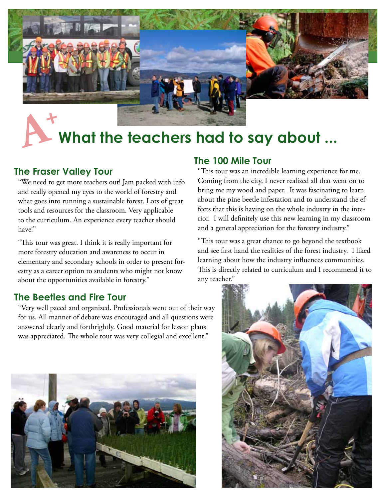

# **What the teachers had to say about ...**

### **The Fraser Valley Tour**

"We need to get more teachers out! Jam packed with info and really opened my eyes to the world of forestry and what goes into running a sustainable forest. Lots of great tools and resources for the classroom. Very applicable to the curriculum. An experience every teacher should have!"

"This tour was great. I think it is really important for more forestry education and awareness to occur in elementary and secondary schools in order to present forestry as a career option to students who might not know about the opportunities available in forestry."

### **The Beetles and Fire Tour**

"Very well paced and organized. Professionals went out of their way for us. All manner of debate was encouraged and all questions were answered clearly and forthrightly. Good material for lesson plans was appreciated. The whole tour was very collegial and excellent."



### **The 100 Mile Tour**

"This tour was an incredible learning experience for me. Coming from the city, I never realized all that went on to bring me my wood and paper. It was fascinating to learn about the pine beetle infestation and to understand the effects that this is having on the whole industry in the interior. I will definitely use this new learning in my classroom and a general appreciation for the forestry industry."

"This tour was a great chance to go beyond the textbook and see first hand the realities of the forest industry. I liked learning about how the industry influences communities. This is directly related to curriculum and I recommend it to any teacher."